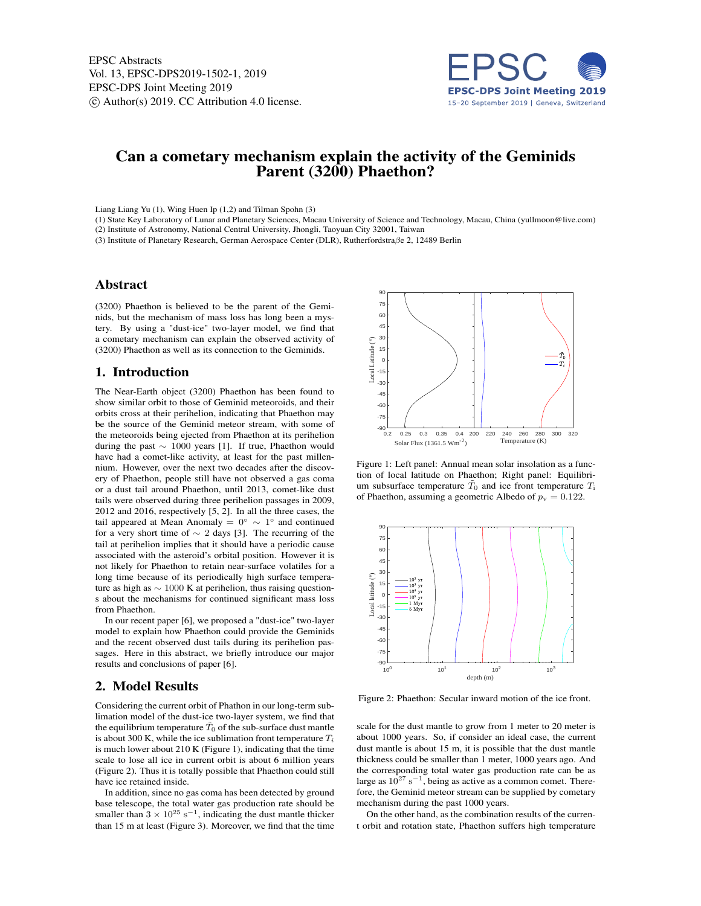

# Can a cometary mechanism explain the activity of the Geminids Parent (3200) Phaethon?

Liang Liang Yu (1), Wing Huen Ip (1,2) and Tilman Spohn (3)

(1) State Key Laboratory of Lunar and Planetary Sciences, Macau University of Science and Technology, Macau, China (yullmoon@live.com) (2) Institute of Astronomy, National Central University, Jhongli, Taoyuan City 32001, Taiwan

(3) Institute of Planetary Research, German Aerospace Center (DLR), Rutherfordstraβe 2, 12489 Berlin

### Abstract

(3200) Phaethon is believed to be the parent of the Geminids, but the mechanism of mass loss has long been a mystery. By using a "dust-ice" two-layer model, we find that a cometary mechanism can explain the observed activity of (3200) Phaethon as well as its connection to the Geminids.

### 1. Introduction

The Near-Earth object (3200) Phaethon has been found to show similar orbit to those of Geminid meteoroids, and their orbits cross at their perihelion, indicating that Phaethon may be the source of the Geminid meteor stream, with some of the meteoroids being ejected from Phaethon at its perihelion during the past ∼ 1000 years [1]. If true, Phaethon would have had a comet-like activity, at least for the past millennium. However, over the next two decades after the discovery of Phaethon, people still have not observed a gas coma or a dust tail around Phaethon, until 2013, comet-like dust tails were observed during three perihelion passages in 2009, 2012 and 2016, respectively [5, 2]. In all the three cases, the tail appeared at Mean Anomaly =  $0° \sim 1°$  and continued for a very short time of  $\sim$  2 days [3]. The recurring of the tail at perihelion implies that it should have a periodic cause associated with the asteroid's orbital position. However it is not likely for Phaethon to retain near-surface volatiles for a long time because of its periodically high surface temperature as high as  $\sim 1000$  K at perihelion, thus raising questions about the mechanisms for continued significant mass loss from Phaethon.

In our recent paper [6], we proposed a "dust-ice" two-layer model to explain how Phaethon could provide the Geminids and the recent observed dust tails during its perihelion passages. Here in this abstract, we briefly introduce our major results and conclusions of paper [6].

## 2. Model Results

Considering the current orbit of Phathon in our long-term sublimation model of the dust-ice two-layer system, we find that the equilibrium temperature  $\tilde{T}_0$  of the sub-surface dust mantle is about 300 K, while the ice sublimation front temperature  $T_i$ is much lower about 210 K (Figure 1), indicating that the time scale to lose all ice in current orbit is about 6 million years (Figure 2). Thus it is totally possible that Phaethon could still have ice retained inside.

In addition, since no gas coma has been detected by ground base telescope, the total water gas production rate should be smaller than  $3 \times 10^{25}$  s<sup>-1</sup>, indicating the dust mantle thicker than 15 m at least (Figure 3). Moreover, we find that the time



Figure 1: Left panel: Annual mean solar insolation as a function of local latitude on Phaethon; Right panel: Equilibrium subsurface temperature  $\tilde{T}_0$  and ice front temperature  $T_i$ of Phaethon, assuming a geometric Albedo of  $p_v = 0.122$ .



Figure 2: Phaethon: Secular inward motion of the ice front.

scale for the dust mantle to grow from 1 meter to 20 meter is about 1000 years. So, if consider an ideal case, the current dust mantle is about 15 m, it is possible that the dust mantle thickness could be smaller than 1 meter, 1000 years ago. And the corresponding total water gas production rate can be as large as  $10^{27}$  s<sup>-1</sup>, being as active as a common comet. Therefore, the Geminid meteor stream can be supplied by cometary mechanism during the past 1000 years.

On the other hand, as the combination results of the current orbit and rotation state, Phaethon suffers high temperature